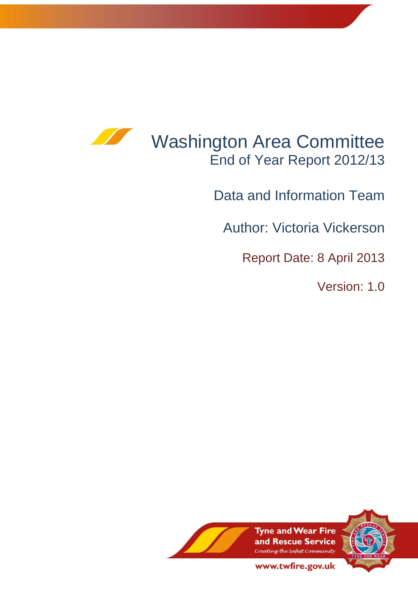

# Washington Area Committee End of Year Report 2012/13

Data and Information Team

Author: Victoria Vickerson

Report Date: 8 April 2013

Version: 1.0



www.twfire.gov.uk

1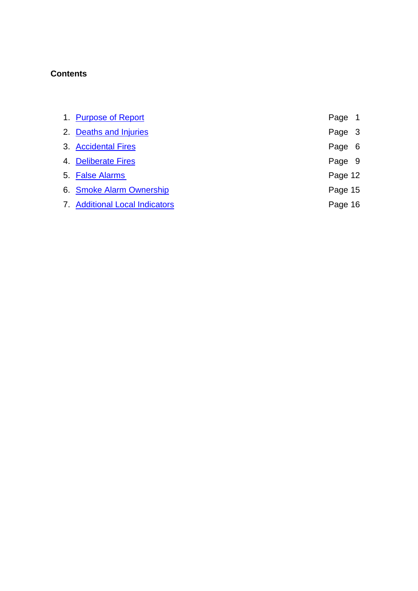# **Contents**

| 1. Purpose of Report                  | Page 1  |  |
|---------------------------------------|---------|--|
| 2. Deaths and Injuries                | Page 3  |  |
| 3. Accidental Fires                   | Page 6  |  |
| 4. Deliberate Fires                   | Page 9  |  |
| 5. False Alarms                       | Page 12 |  |
| 6. Smoke Alarm Ownership              | Page 15 |  |
| <b>7. Additional Local Indicators</b> | Page 16 |  |
|                                       |         |  |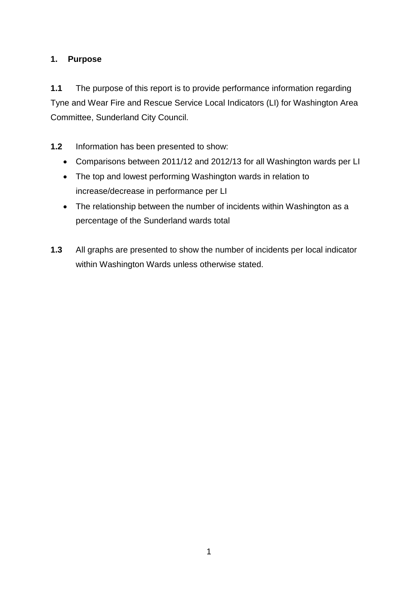# <span id="page-2-0"></span>**1. Purpose**

**1.1** The purpose of this report is to provide performance information regarding Tyne and Wear Fire and Rescue Service Local Indicators (LI) for Washington Area Committee, Sunderland City Council.

- **1.2** Information has been presented to show:
	- Comparisons between 2011/12 and 2012/13 for all Washington wards per LI
	- The top and lowest performing Washington wards in relation to increase/decrease in performance per LI
	- The relationship between the number of incidents within Washington as a percentage of the Sunderland wards total
- **1.3** All graphs are presented to show the number of incidents per local indicator within Washington Wards unless otherwise stated.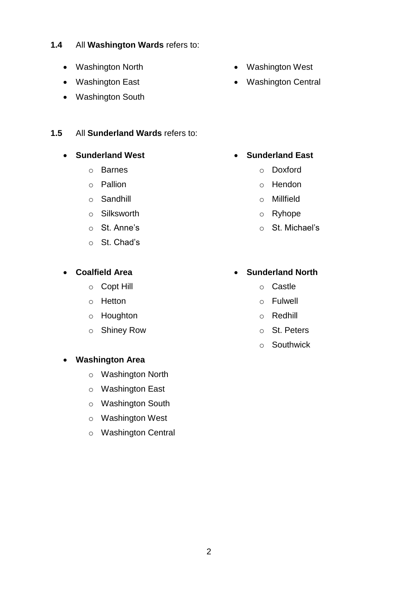2

# **1.4** All **Washington Wards** refers to:

- Washington North
- Washington East
- Washington South

#### **1.5** All **Sunderland Wards** refers to:

#### **• Sunderland West**

- o Barnes
- o Pallion
- o Sandhill
- o Silksworth
- o St. Anne's
- o St. Chad's

#### **Coalfield Area**

- o Copt Hill
- o Hetton
- o Houghton
- o Shiney Row

# **Washington Area**

- o Washington North
- o Washington East
- o Washington South
- o Washington West
- o Washington Central
- Washington West
- Washington Central

- **Sunderland East**
	- o Doxford
	- o Hendon
	- o Millfield
	- o Ryhope
	- o St. Michael's

# **Sunderland North**

- o Castle
- o Fulwell
- o Redhill
- o St. Peters
- o Southwick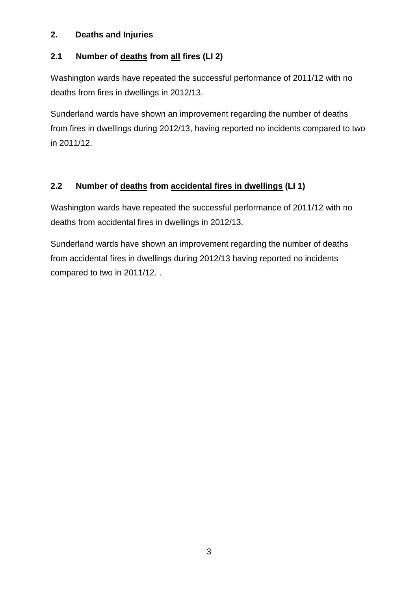#### <span id="page-4-0"></span>**2. Deaths and Injuries**

# **2.1 Number of deaths from all fires (LI 2)**

Washington wards have repeated the successful performance of 2011/12 with no deaths from fires in dwellings in 2012/13.

Sunderland wards have shown an improvement regarding the number of deaths from fires in dwellings during 2012/13, having reported no incidents compared to two in 2011/12.

# **2.2 Number of deaths from accidental fires in dwellings (LI 1)**

Washington wards have repeated the successful performance of 2011/12 with no deaths from accidental fires in dwellings in 2012/13.

Sunderland wards have shown an improvement regarding the number of deaths from accidental fires in dwellings during 2012/13 having reported no incidents compared to two in 2011/12. .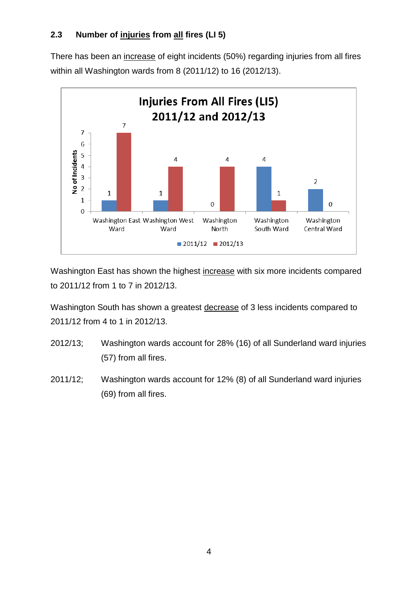# **2.3 Number of injuries from all fires (LI 5)**

There has been an increase of eight incidents (50%) regarding injuries from all fires within all Washington wards from 8 (2011/12) to 16 (2012/13).



Washington East has shown the highest increase with six more incidents compared to 2011/12 from 1 to 7 in 2012/13.

Washington South has shown a greatest decrease of 3 less incidents compared to 2011/12 from 4 to 1 in 2012/13.

- 2012/13; Washington wards account for 28% (16) of all Sunderland ward injuries (57) from all fires.
- 2011/12; Washington wards account for 12% (8) of all Sunderland ward injuries (69) from all fires.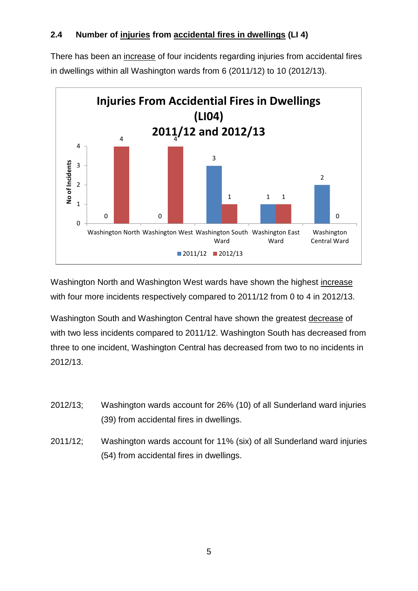### **2.4 Number of injuries from accidental fires in dwellings (LI 4)**

There has been an increase of four incidents regarding injuries from accidental fires in dwellings within all Washington wards from 6 (2011/12) to 10 (2012/13).



Washington North and Washington West wards have shown the highest increase with four more incidents respectively compared to 2011/12 from 0 to 4 in 2012/13.

Washington South and Washington Central have shown the greatest decrease of with two less incidents compared to 2011/12. Washington South has decreased from three to one incident, Washington Central has decreased from two to no incidents in 2012/13.

- 2012/13; Washington wards account for 26% (10) of all Sunderland ward injuries (39) from accidental fires in dwellings.
- 2011/12; Washington wards account for 11% (six) of all Sunderland ward injuries (54) from accidental fires in dwellings.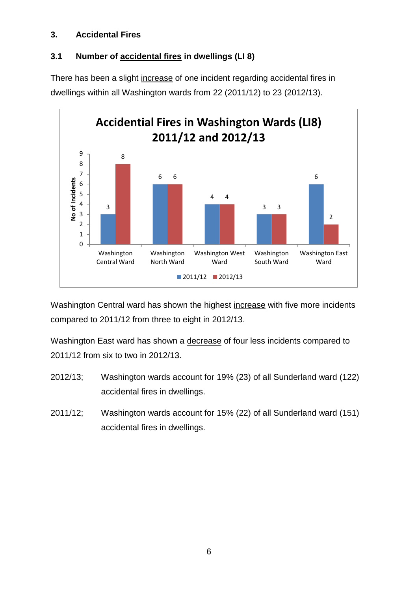#### <span id="page-7-0"></span>**3. Accidental Fires**

# **3.1 Number of accidental fires in dwellings (LI 8)**

There has been a slight increase of one incident regarding accidental fires in dwellings within all Washington wards from 22 (2011/12) to 23 (2012/13).



Washington Central ward has shown the highest increase with five more incidents compared to 2011/12 from three to eight in 2012/13.

Washington East ward has shown a decrease of four less incidents compared to 2011/12 from six to two in 2012/13.

- 2012/13; Washington wards account for 19% (23) of all Sunderland ward (122) accidental fires in dwellings.
- 2011/12; Washington wards account for 15% (22) of all Sunderland ward (151) accidental fires in dwellings.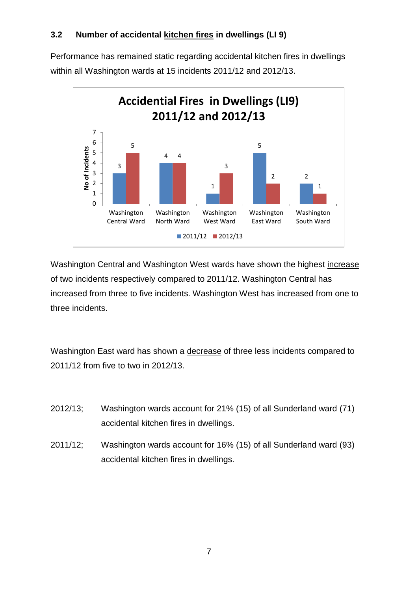# **3.2 Number of accidental kitchen fires in dwellings (LI 9)**

Performance has remained static regarding accidental kitchen fires in dwellings within all Washington wards at 15 incidents 2011/12 and 2012/13.



Washington Central and Washington West wards have shown the highest increase of two incidents respectively compared to 2011/12. Washington Central has increased from three to five incidents. Washington West has increased from one to three incidents.

Washington East ward has shown a decrease of three less incidents compared to 2011/12 from five to two in 2012/13.

- 2012/13; Washington wards account for 21% (15) of all Sunderland ward (71) accidental kitchen fires in dwellings.
- 2011/12; Washington wards account for 16% (15) of all Sunderland ward (93) accidental kitchen fires in dwellings.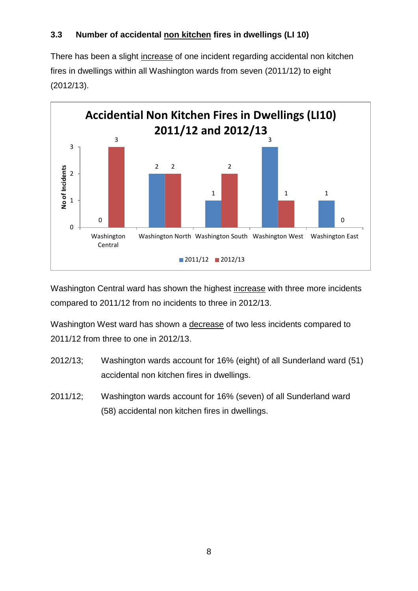# **3.3 Number of accidental non kitchen fires in dwellings (LI 10)**

There has been a slight increase of one incident regarding accidental non kitchen fires in dwellings within all Washington wards from seven (2011/12) to eight (2012/13).



Washington Central ward has shown the highest increase with three more incidents compared to 2011/12 from no incidents to three in 2012/13.

Washington West ward has shown a decrease of two less incidents compared to 2011/12 from three to one in 2012/13.

- 2012/13; Washington wards account for 16% (eight) of all Sunderland ward (51) accidental non kitchen fires in dwellings.
- 2011/12; Washington wards account for 16% (seven) of all Sunderland ward (58) accidental non kitchen fires in dwellings.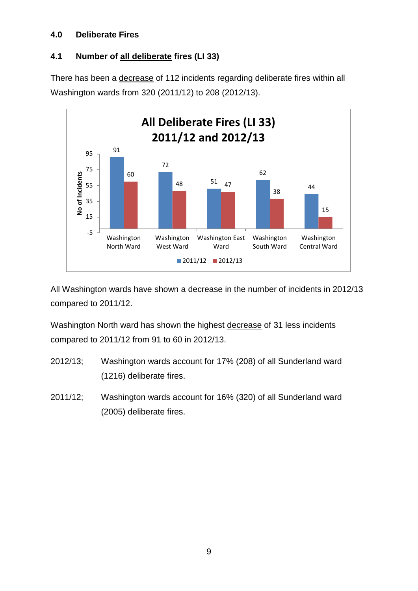#### <span id="page-10-0"></span>**4.0 Deliberate Fires**

# **4.1 Number of all deliberate fires (LI 33)**

There has been a decrease of 112 incidents regarding deliberate fires within all Washington wards from 320 (2011/12) to 208 (2012/13).



All Washington wards have shown a decrease in the number of incidents in 2012/13 compared to 2011/12.

Washington North ward has shown the highest decrease of 31 less incidents compared to 2011/12 from 91 to 60 in 2012/13.

- 2012/13; Washington wards account for 17% (208) of all Sunderland ward (1216) deliberate fires.
- 2011/12; Washington wards account for 16% (320) of all Sunderland ward (2005) deliberate fires.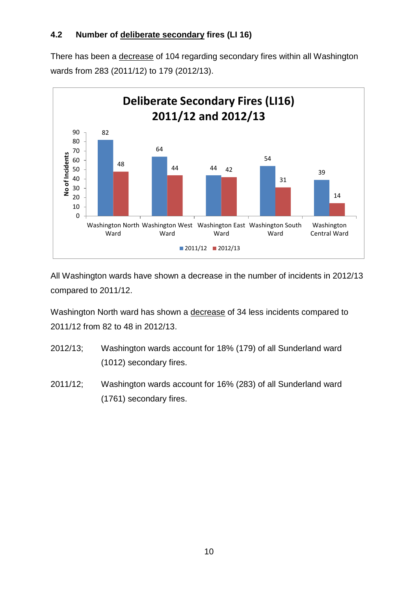There has been a decrease of 104 regarding secondary fires within all Washington wards from 283 (2011/12) to 179 (2012/13).



All Washington wards have shown a decrease in the number of incidents in 2012/13 compared to 2011/12.

Washington North ward has shown a decrease of 34 less incidents compared to 2011/12 from 82 to 48 in 2012/13.

- 2012/13; Washington wards account for 18% (179) of all Sunderland ward (1012) secondary fires.
- 2011/12; Washington wards account for 16% (283) of all Sunderland ward (1761) secondary fires.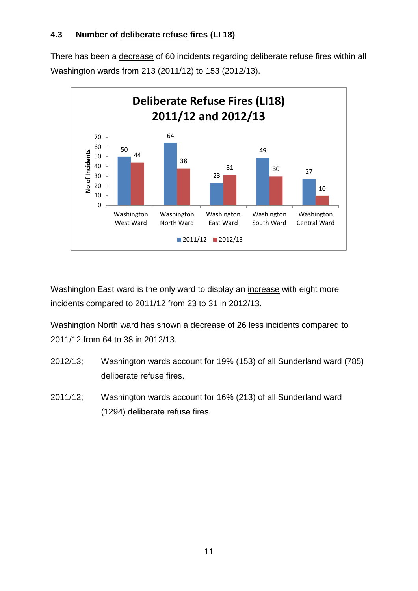# **4.3 Number of deliberate refuse fires (LI 18)**

There has been a decrease of 60 incidents regarding deliberate refuse fires within all Washington wards from 213 (2011/12) to 153 (2012/13).



Washington East ward is the only ward to display an increase with eight more incidents compared to 2011/12 from 23 to 31 in 2012/13.

Washington North ward has shown a decrease of 26 less incidents compared to 2011/12 from 64 to 38 in 2012/13.

- 2012/13; Washington wards account for 19% (153) of all Sunderland ward (785) deliberate refuse fires.
- 2011/12; Washington wards account for 16% (213) of all Sunderland ward (1294) deliberate refuse fires.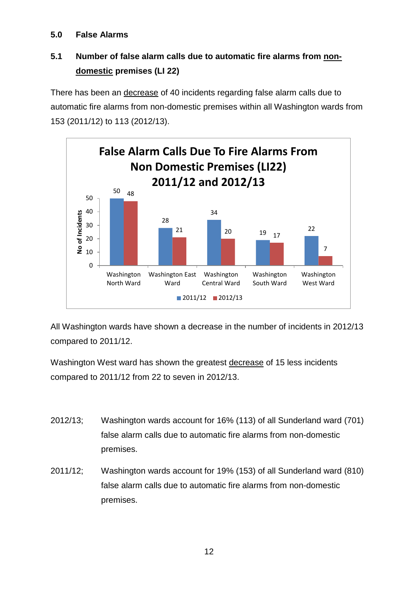#### <span id="page-13-0"></span>**5.0 False Alarms**

# **5.1 Number of false alarm calls due to automatic fire alarms from nondomestic premises (LI 22)**

There has been an decrease of 40 incidents regarding false alarm calls due to automatic fire alarms from non-domestic premises within all Washington wards from 153 (2011/12) to 113 (2012/13).



All Washington wards have shown a decrease in the number of incidents in 2012/13 compared to 2011/12.

Washington West ward has shown the greatest decrease of 15 less incidents compared to 2011/12 from 22 to seven in 2012/13.

- 2012/13; Washington wards account for 16% (113) of all Sunderland ward (701) false alarm calls due to automatic fire alarms from non-domestic premises.
- 2011/12; Washington wards account for 19% (153) of all Sunderland ward (810) false alarm calls due to automatic fire alarms from non-domestic premises.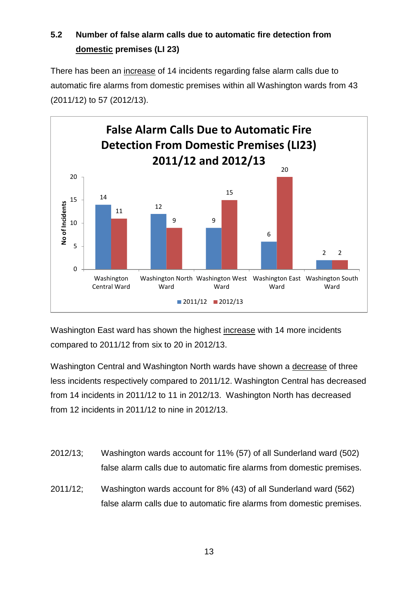# **5.2 Number of false alarm calls due to automatic fire detection from domestic premises (LI 23)**

There has been an increase of 14 incidents regarding false alarm calls due to automatic fire alarms from domestic premises within all Washington wards from 43 (2011/12) to 57 (2012/13).



Washington East ward has shown the highest increase with 14 more incidents compared to 2011/12 from six to 20 in 2012/13.

Washington Central and Washington North wards have shown a decrease of three less incidents respectively compared to 2011/12. Washington Central has decreased from 14 incidents in 2011/12 to 11 in 2012/13. Washington North has decreased from 12 incidents in 2011/12 to nine in 2012/13.

- 2012/13; Washington wards account for 11% (57) of all Sunderland ward (502) false alarm calls due to automatic fire alarms from domestic premises.
- 2011/12; Washington wards account for 8% (43) of all Sunderland ward (562) false alarm calls due to automatic fire alarms from domestic premises.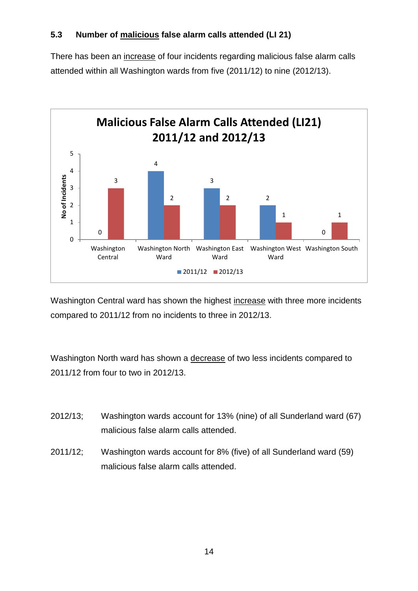# **5.3 Number of malicious false alarm calls attended (LI 21)**

There has been an increase of four incidents regarding malicious false alarm calls attended within all Washington wards from five (2011/12) to nine (2012/13).



Washington Central ward has shown the highest increase with three more incidents compared to 2011/12 from no incidents to three in 2012/13.

Washington North ward has shown a decrease of two less incidents compared to 2011/12 from four to two in 2012/13.

- 2012/13; Washington wards account for 13% (nine) of all Sunderland ward (67) malicious false alarm calls attended.
- 2011/12; Washington wards account for 8% (five) of all Sunderland ward (59) malicious false alarm calls attended.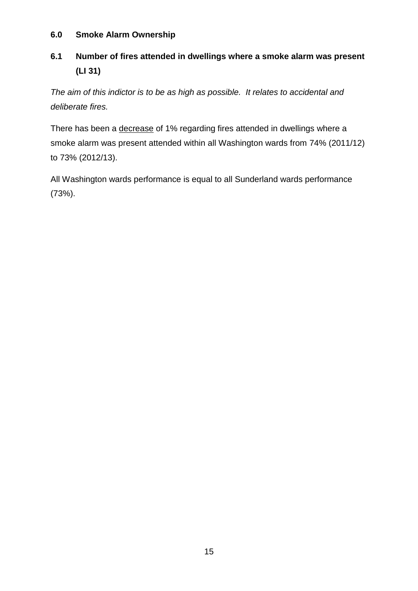#### <span id="page-16-0"></span>**6.0 Smoke Alarm Ownership**

# **6.1 Number of fires attended in dwellings where a smoke alarm was present (LI 31)**

*The aim of this indictor is to be as high as possible. It relates to accidental and deliberate fires.* 

There has been a decrease of 1% regarding fires attended in dwellings where a smoke alarm was present attended within all Washington wards from 74% (2011/12) to 73% (2012/13).

All Washington wards performance is equal to all Sunderland wards performance (73%).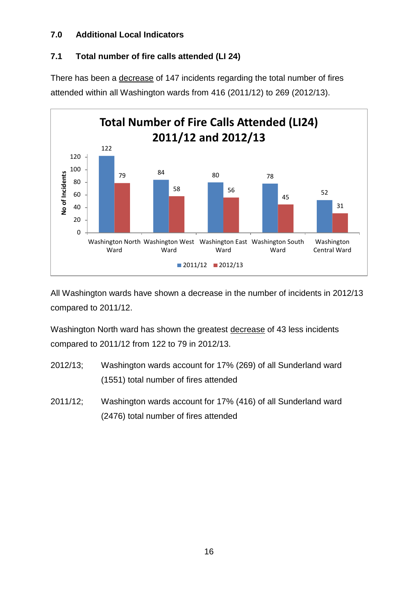#### <span id="page-17-0"></span>**7.0 Additional Local Indicators**

# **7.1 Total number of fire calls attended (LI 24)**

There has been a decrease of 147 incidents regarding the total number of fires attended within all Washington wards from 416 (2011/12) to 269 (2012/13).



All Washington wards have shown a decrease in the number of incidents in 2012/13 compared to 2011/12.

Washington North ward has shown the greatest decrease of 43 less incidents compared to 2011/12 from 122 to 79 in 2012/13.

- 2012/13; Washington wards account for 17% (269) of all Sunderland ward (1551) total number of fires attended
- 2011/12; Washington wards account for 17% (416) of all Sunderland ward (2476) total number of fires attended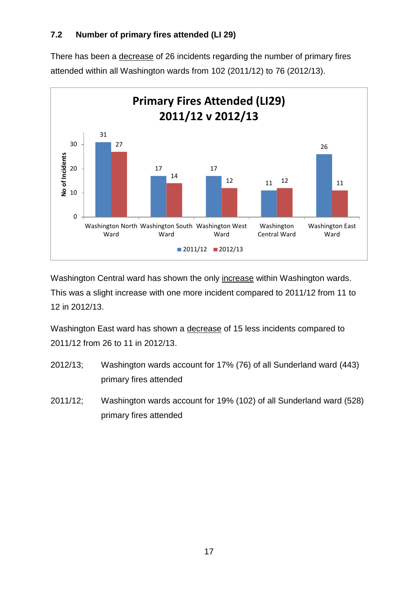# **7.2 Number of primary fires attended (LI 29)**

There has been a decrease of 26 incidents regarding the number of primary fires attended within all Washington wards from 102 (2011/12) to 76 (2012/13).



Washington Central ward has shown the only increase within Washington wards. This was a slight increase with one more incident compared to 2011/12 from 11 to 12 in 2012/13.

Washington East ward has shown a decrease of 15 less incidents compared to 2011/12 from 26 to 11 in 2012/13.

- 2012/13; Washington wards account for 17% (76) of all Sunderland ward (443) primary fires attended
- 2011/12; Washington wards account for 19% (102) of all Sunderland ward (528) primary fires attended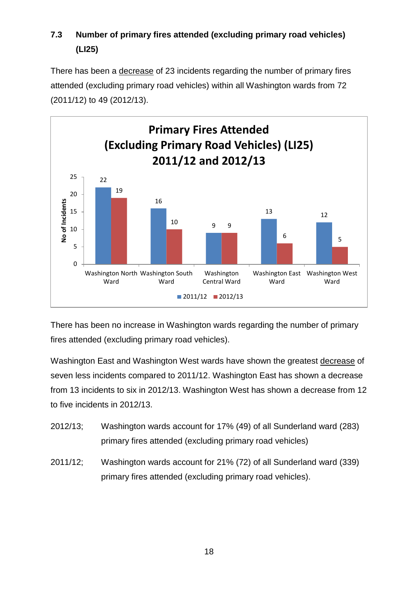# **7.3 Number of primary fires attended (excluding primary road vehicles) (LI25)**

There has been a decrease of 23 incidents regarding the number of primary fires attended (excluding primary road vehicles) within all Washington wards from 72 (2011/12) to 49 (2012/13).



There has been no increase in Washington wards regarding the number of primary fires attended (excluding primary road vehicles).

Washington East and Washington West wards have shown the greatest decrease of seven less incidents compared to 2011/12. Washington East has shown a decrease from 13 incidents to six in 2012/13. Washington West has shown a decrease from 12 to five incidents in 2012/13.

- 2012/13; Washington wards account for 17% (49) of all Sunderland ward (283) primary fires attended (excluding primary road vehicles)
- 2011/12; Washington wards account for 21% (72) of all Sunderland ward (339) primary fires attended (excluding primary road vehicles).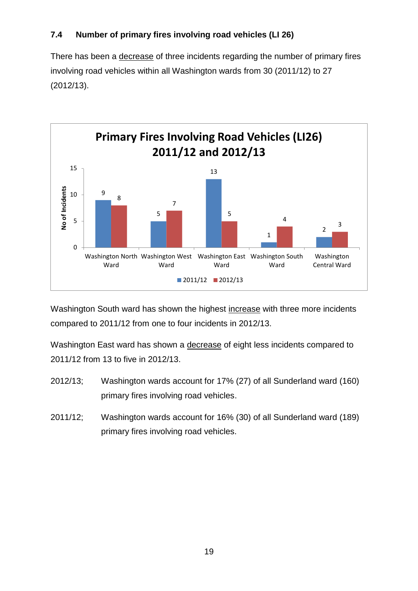# **7.4 Number of primary fires involving road vehicles (LI 26)**

There has been a decrease of three incidents regarding the number of primary fires involving road vehicles within all Washington wards from 30 (2011/12) to 27 (2012/13).



Washington South ward has shown the highest increase with three more incidents compared to 2011/12 from one to four incidents in 2012/13.

Washington East ward has shown a decrease of eight less incidents compared to 2011/12 from 13 to five in 2012/13.

- 2012/13; Washington wards account for 17% (27) of all Sunderland ward (160) primary fires involving road vehicles.
- 2011/12; Washington wards account for 16% (30) of all Sunderland ward (189) primary fires involving road vehicles.